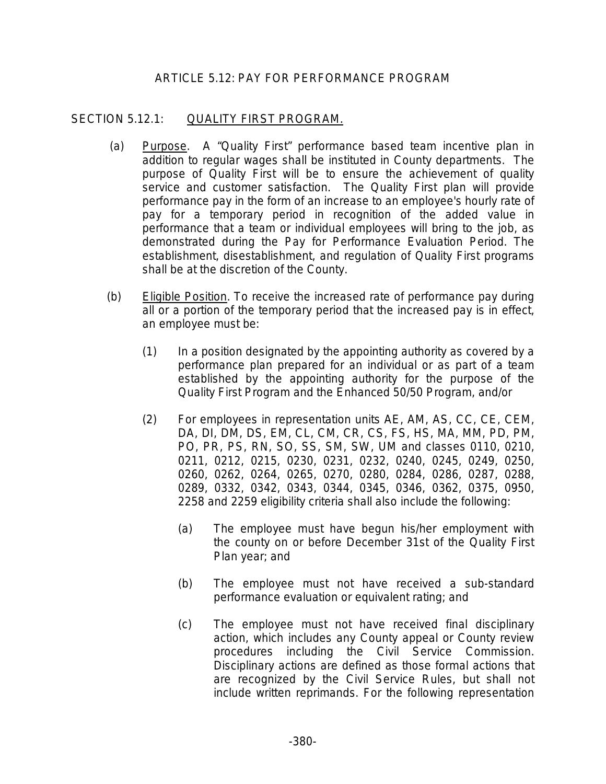## ARTICLE 5.12: PAY FOR PERFORMANCE PROGRAM

## SECTION 5.12.1: QUALITY FIRST PROGRAM.

- (a) Purpose. A "Quality First" performance based team incentive plan in addition to regular wages shall be instituted in County departments. The purpose of Quality First will be to ensure the achievement of quality service and customer satisfaction. The Quality First plan will provide performance pay in the form of an increase to an employee's hourly rate of pay for a temporary period in recognition of the added value in performance that a team or individual employees will bring to the job, as demonstrated during the Pay for Performance Evaluation Period. The establishment, disestablishment, and regulation of Quality First programs shall be at the discretion of the County.
- (b) Eligible Position. To receive the increased rate of performance pay during all or a portion of the temporary period that the increased pay is in effect, an employee must be:
	- (1) In a position designated by the appointing authority as covered by a performance plan prepared for an individual or as part of a team established by the appointing authority for the purpose of the Quality First Program and the Enhanced 50/50 Program, and/or
	- (2) For employees in representation units AE, AM, AS, CC, CE, CEM, DA, DI, DM, DS, EM, CL, CM, CR, CS, FS, HS, MA, MM, PD, PM, PO, PR, PS, RN, SO, SS, SM, SW, UM and classes 0110, 0210, 0211, 0212, 0215, 0230, 0231, 0232, 0240, 0245, 0249, 0250, 0260, 0262, 0264, 0265, 0270, 0280, 0284, 0286, 0287, 0288, 0289, 0332, 0342, 0343, 0344, 0345, 0346, 0362, 0375, 0950, 2258 and 2259 eligibility criteria shall also include the following:
		- (a) The employee must have begun his/her employment with the county on or before December 31st of the Quality First Plan year; and
		- (b) The employee must not have received a sub-standard performance evaluation or equivalent rating; and
		- (c) The employee must not have received final disciplinary action, which includes any County appeal or County review procedures including the Civil Service Commission. Disciplinary actions are defined as those formal actions that are recognized by the Civil Service Rules, but shall not include written reprimands. For the following representation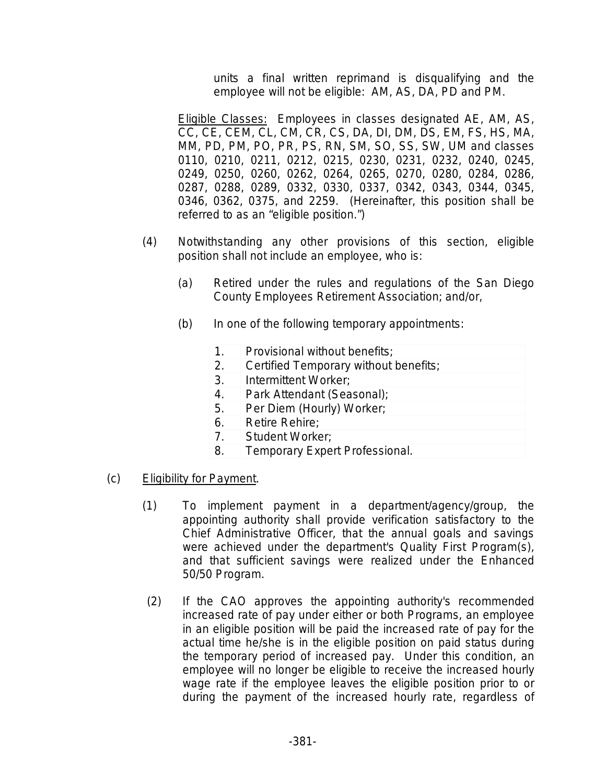units a final written reprimand is disqualifying and the employee will not be eligible: AM, AS, DA, PD and PM.

Eligible Classes: Employees in classes designated AE, AM, AS, CC, CE, CEM, CL, CM, CR, CS, DA, DI, DM, DS, EM, FS, HS, MA, MM, PD, PM, PO, PR, PS, RN, SM, SO, SS, SW, UM and classes 0110, 0210, 0211, 0212, 0215, 0230, 0231, 0232, 0240, 0245, 0249, 0250, 0260, 0262, 0264, 0265, 0270, 0280, 0284, 0286, 0287, 0288, 0289, 0332, 0330, 0337, 0342, 0343, 0344, 0345, 0346, 0362, 0375, and 2259. (Hereinafter, this position shall be referred to as an "eligible position.")

- (4) Notwithstanding any other provisions of this section, eligible position shall not include an employee, who is:
	- (a) Retired under the rules and regulations of the San Diego County Employees Retirement Association; and/or,
	- (b) In one of the following temporary appointments:
		- 1. Provisional without benefits;
		- 2. Certified Temporary without benefits;
		- 3. Intermittent Worker;
		- 4. Park Attendant (Seasonal);
		- 5. Per Diem (Hourly) Worker;
		- 6. Retire Rehire;
		- 7. Student Worker;
		- 8. Temporary Expert Professional.
- (c) Eligibility for Payment.
	- (1) To implement payment in a department/agency/group, the appointing authority shall provide verification satisfactory to the Chief Administrative Officer, that the annual goals and savings were achieved under the department's Quality First Program(s), and that sufficient savings were realized under the Enhanced 50/50 Program.
	- (2) If the CAO approves the appointing authority's recommended increased rate of pay under either or both Programs, an employee in an eligible position will be paid the increased rate of pay for the actual time he/she is in the eligible position on paid status during the temporary period of increased pay. Under this condition, an employee will no longer be eligible to receive the increased hourly wage rate if the employee leaves the eligible position prior to or during the payment of the increased hourly rate, regardless of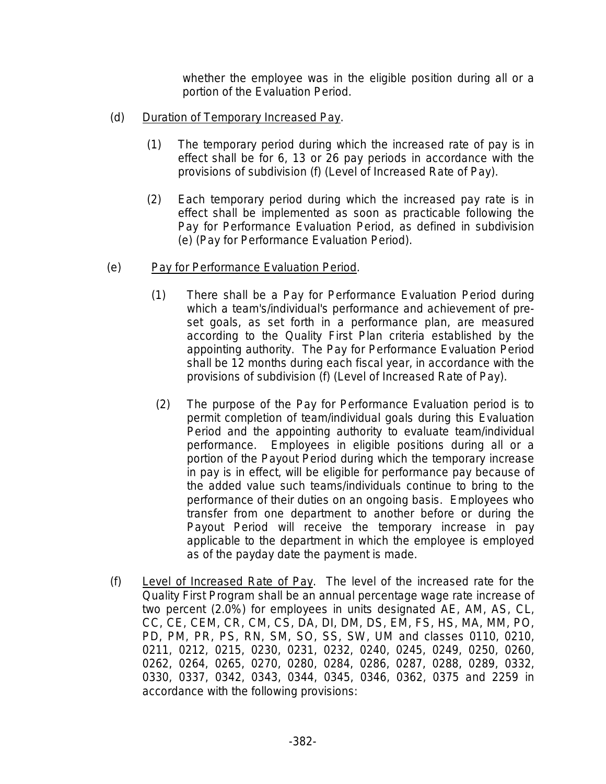whether the employee was in the eligible position during all or a portion of the Evaluation Period.

- (d) Duration of Temporary Increased Pay.
	- (1) The temporary period during which the increased rate of pay is in effect shall be for 6, 13 or 26 pay periods in accordance with the provisions of subdivision (f) (Level of Increased Rate of Pay).
	- (2) Each temporary period during which the increased pay rate is in effect shall be implemented as soon as practicable following the Pay for Performance Evaluation Period, as defined in subdivision (e) (Pay for Performance Evaluation Period).
- (e) Pay for Performance Evaluation Period.
	- (1) There shall be a Pay for Performance Evaluation Period during which a team's/individual's performance and achievement of preset goals, as set forth in a performance plan, are measured according to the Quality First Plan criteria established by the appointing authority. The Pay for Performance Evaluation Period shall be 12 months during each fiscal year, in accordance with the provisions of subdivision (f) (Level of Increased Rate of Pay).
	- (2) The purpose of the Pay for Performance Evaluation period is to permit completion of team/individual goals during this Evaluation Period and the appointing authority to evaluate team/individual performance. Employees in eligible positions during all or a portion of the Payout Period during which the temporary increase in pay is in effect, will be eligible for performance pay because of the added value such teams/individuals continue to bring to the performance of their duties on an ongoing basis. Employees who transfer from one department to another before or during the Payout Period will receive the temporary increase in pay applicable to the department in which the employee is employed as of the payday date the payment is made.
- (f) Level of Increased Rate of Pay. The level of the increased rate for the Quality First Program shall be an annual percentage wage rate increase of two percent (2.0%) for employees in units designated AE, AM, AS, CL, CC, CE, CEM, CR, CM, CS, DA, DI, DM, DS, EM, FS, HS, MA, MM, PO, PD, PM, PR, PS, RN, SM, SO, SS, SW, UM and classes 0110, 0210, 0211, 0212, 0215, 0230, 0231, 0232, 0240, 0245, 0249, 0250, 0260, 0262, 0264, 0265, 0270, 0280, 0284, 0286, 0287, 0288, 0289, 0332, 0330, 0337, 0342, 0343, 0344, 0345, 0346, 0362, 0375 and 2259 in accordance with the following provisions: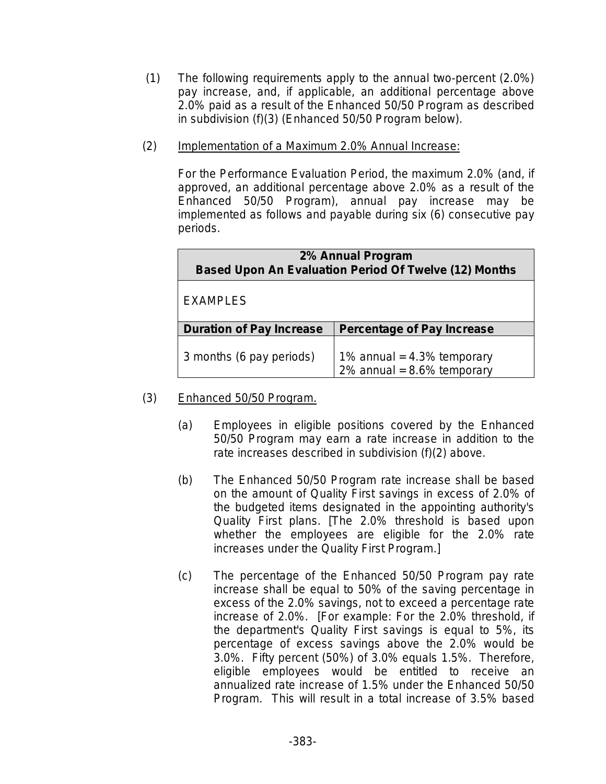- (1) The following requirements apply to the annual two-percent (2.0%) pay increase, and, if applicable, an additional percentage above 2.0% paid as a result of the Enhanced 50/50 Program as described in subdivision (f)(3) (Enhanced 50/50 Program below).
- (2) Implementation of a Maximum 2.0% Annual Increase:

For the Performance Evaluation Period, the maximum 2.0% (and, if approved, an additional percentage above 2.0% as a result of the Enhanced 50/50 Program), annual pay increase may be implemented as follows and payable during six (6) consecutive pay periods.

| 2% Annual Program<br><b>Based Upon An Evaluation Period Of Twelve (12) Months</b> |                                                              |  |  |  |
|-----------------------------------------------------------------------------------|--------------------------------------------------------------|--|--|--|
| <b>EXAMPLES</b>                                                                   |                                                              |  |  |  |
| <b>Duration of Pay Increase</b>                                                   | <b>Percentage of Pay Increase</b>                            |  |  |  |
| 3 months (6 pay periods)                                                          | 1% annual = $4.3%$ temporary<br>2% annual = $8.6%$ temporary |  |  |  |

- (3) Enhanced 50/50 Program.
	- (a) Employees in eligible positions covered by the Enhanced 50/50 Program may earn a rate increase in addition to the rate increases described in subdivision (f)(2) above.
	- (b) The Enhanced 50/50 Program rate increase shall be based on the amount of Quality First savings in excess of 2.0% of the budgeted items designated in the appointing authority's Quality First plans. [The 2.0% threshold is based upon whether the employees are eligible for the 2.0% rate increases under the Quality First Program.]
	- (c) The percentage of the Enhanced 50/50 Program pay rate increase shall be equal to 50% of the saving percentage in excess of the 2.0% savings, not to exceed a percentage rate increase of 2.0%. [For example: For the 2.0% threshold, if the department's Quality First savings is equal to 5%, its percentage of excess savings above the 2.0% would be 3.0%. Fifty percent (50%) of 3.0% equals 1.5%. Therefore, eligible employees would be entitled to receive an annualized rate increase of 1.5% under the Enhanced 50/50 Program. This will result in a total increase of 3.5% based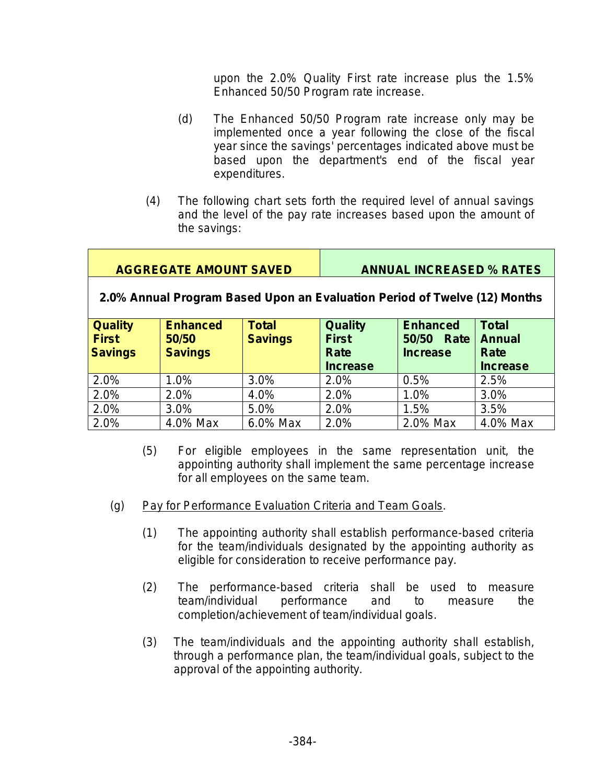upon the 2.0% Quality First rate increase plus the 1.5% Enhanced 50/50 Program rate increase.

- (d) The Enhanced 50/50 Program rate increase only may be implemented once a year following the close of the fiscal year since the savings' percentages indicated above must be based upon the department's end of the fiscal year expenditures.
- (4) The following chart sets forth the required level of annual savings and the level of the pay rate increases based upon the amount of the savings:

# **AGGREGATE AMOUNT SAVED ANNUAL INCREASED % RATES**

# **2.0% Annual Program Based Upon an Evaluation Period of Twelve (12) Months**

| <b>Quality</b><br><b>First</b><br><b>Savings</b> | <b>Enhanced</b><br>50/50<br><b>Savings</b> | <b>Total</b><br><b>Savings</b> | <b>Quality</b><br><b>First</b><br>Rate<br><b>Increase</b> | <b>Enhanced</b><br>50/50<br>Rate<br><b>Increase</b> | <b>Total</b><br><b>Annual</b><br>Rate<br><b>Increase</b> |
|--------------------------------------------------|--------------------------------------------|--------------------------------|-----------------------------------------------------------|-----------------------------------------------------|----------------------------------------------------------|
| 2.0%                                             | 1.0%                                       | 3.0%                           | 2.0%                                                      | 0.5%                                                | 2.5%                                                     |
| 2.0%                                             | 2.0%                                       | 4.0%                           | 2.0%                                                      | 1.0%                                                | 3.0%                                                     |
| 2.0%                                             | 3.0%                                       | 5.0%                           | 2.0%                                                      | 1.5%                                                | 3.5%                                                     |
| 2.0%                                             | 4.0% Max                                   | 6.0% Max                       | 2.0%                                                      | 2.0% Max                                            | 4.0% Max                                                 |

- (5) For eligible employees in the same representation unit, the appointing authority shall implement the same percentage increase for all employees on the same team.
- (g) Pay for Performance Evaluation Criteria and Team Goals.
	- (1) The appointing authority shall establish performance-based criteria for the team/individuals designated by the appointing authority as eligible for consideration to receive performance pay.
	- (2) The performance-based criteria shall be used to measure team/individual performance and to measure the completion/achievement of team/individual goals.
	- (3) The team/individuals and the appointing authority shall establish, through a performance plan, the team/individual goals, subject to the approval of the appointing authority.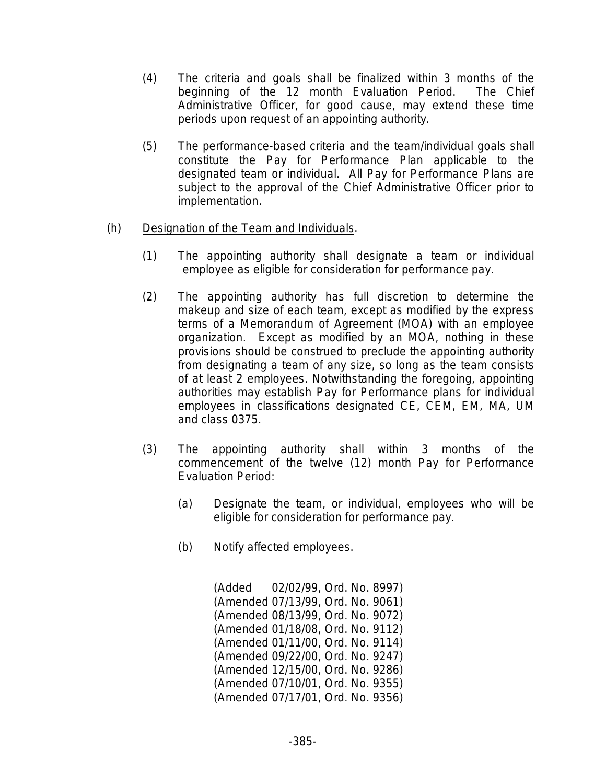- (4) The criteria and goals shall be finalized within 3 months of the beginning of the 12 month Evaluation Period. The Chief Administrative Officer, for good cause, may extend these time periods upon request of an appointing authority.
- (5) The performance-based criteria and the team/individual goals shall constitute the Pay for Performance Plan applicable to the designated team or individual. All Pay for Performance Plans are subject to the approval of the Chief Administrative Officer prior to implementation.

# (h) Designation of the Team and Individuals.

- (1) The appointing authority shall designate a team or individual employee as eligible for consideration for performance pay.
- (2) The appointing authority has full discretion to determine the makeup and size of each team, except as modified by the express terms of a Memorandum of Agreement (MOA) with an employee organization. Except as modified by an MOA, nothing in these provisions should be construed to preclude the appointing authority from designating a team of any size, so long as the team consists of at least 2 employees. Notwithstanding the foregoing, appointing authorities may establish Pay for Performance plans for individual employees in classifications designated CE, CEM, EM, MA, UM and class 0375.
- (3) The appointing authority shall within 3 months of the commencement of the twelve (12) month Pay for Performance Evaluation Period:
	- (a) Designate the team, or individual, employees who will be eligible for consideration for performance pay.
	- (b) Notify affected employees.

(Added 02/02/99, Ord. No. 8997) (Amended 07/13/99, Ord. No. 9061) (Amended 08/13/99, Ord. No. 9072) (Amended 01/18/08, Ord. No. 9112) (Amended 01/11/00, Ord. No. 9114) (Amended 09/22/00, Ord. No. 9247) (Amended 12/15/00, Ord. No. 9286) (Amended 07/10/01, Ord. No. 9355) (Amended 07/17/01, Ord. No. 9356)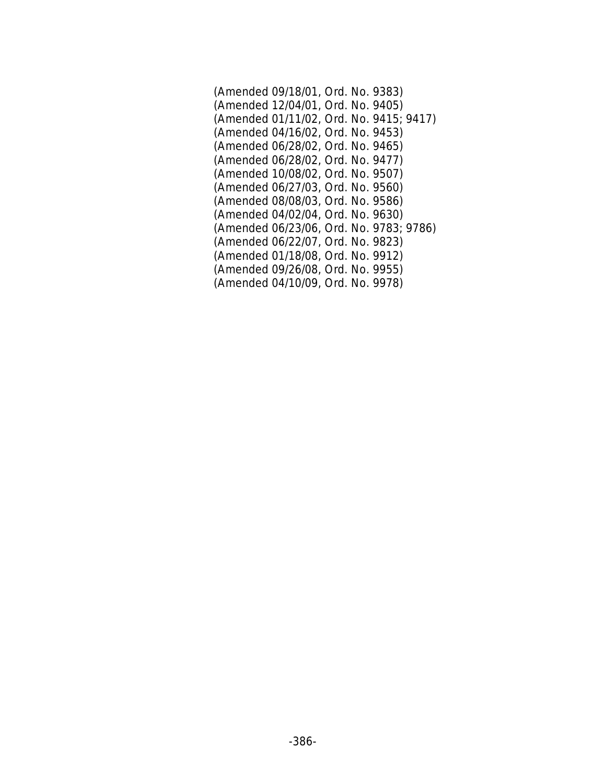| (Amended 09/18/01, Ord. No. 9383)       |
|-----------------------------------------|
| (Amended 12/04/01, Ord. No. 9405)       |
| (Amended 01/11/02, Ord. No. 9415; 9417) |
| (Amended 04/16/02, Ord. No. 9453)       |
| (Amended 06/28/02, Ord. No. 9465)       |
| (Amended 06/28/02, Ord. No. 9477)       |
| (Amended 10/08/02, Ord. No. 9507)       |
| (Amended 06/27/03, Ord. No. 9560)       |
| (Amended 08/08/03, Ord. No. 9586)       |
| (Amended 04/02/04, Ord. No. 9630)       |
| (Amended 06/23/06, Ord. No. 9783; 9786) |
| (Amended 06/22/07, Ord. No. 9823)       |
| (Amended 01/18/08, Ord. No. 9912)       |
| (Amended 09/26/08, Ord. No. 9955)       |
| (Amended 04/10/09, Ord. No. 9978)       |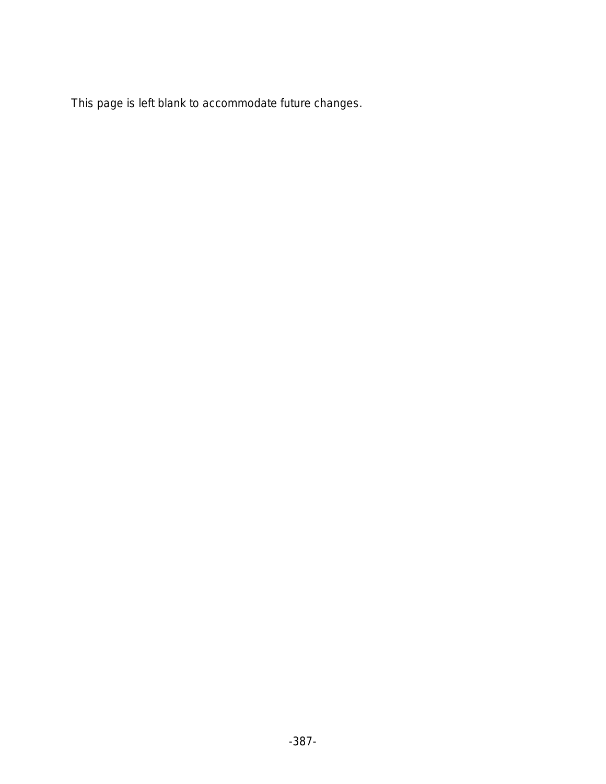This page is left blank to accommodate future changes.